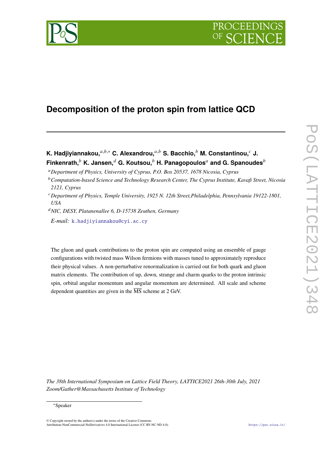



# **Decomposition of the proton spin from lattice QCD**

**K. Hadjiyiannakou,**<sup>*a,b,∗*</sup> **C.** Alexandrou,<sup>*a,b*</sup> **S.** Bacchio,<sup>*b*</sup> M. Constantinou,<sup>*c*</sup> J. **Finkenrath,**<sup>b</sup> K. Jansen,<sup>d</sup> G. Koutsou,<sup>b</sup> H. Panagopoulos<sup>a</sup> and G. Spanoudes<sup>b</sup>

<sup>𝑑</sup>*NIC, DESY, Platanenallee 6, D-15738 Zeuthen, Germany*

*E-mail:* [k.hadjiyiannakou@cyi.ac.cy](mailto:k.hadjiyiannakou@cyi.ac.cy)

The gluon and quark contributions to the proton spin are computed using an ensemble of gauge configurations with twisted mass Wilson fermions with masses tuned to approximately reproduce their physical values. A non-perturbative renormalization is carried out for both quark and gluon matrix elements. The contribution of up, down, strange and charm quarks to the proton intrinsic spin, orbital angular momentum and angular momentum are determined. All scale and scheme dependent quantities are given in the  $\overline{\text{MS}}$  scheme at 2 GeV.

*The 38th International Symposium on Lattice Field Theory, LATTICE2021 26th-30th July, 2021 Zoom/Gather@Massachusetts Institute of Technology*

© Copyright owned by the author(s) under the terms of the Creative Commons Attribution-NonCommercial-NoDerivatives 4.0 International License (CC BY-NC-ND 4.0). <https://pos.sissa.it/>

<sup>𝑎</sup>*Department of Physics, University of Cyprus, P.O. Box 20537, 1678 Nicosia, Cyprus*

<sup>&</sup>lt;sup>b</sup> Computation-based Science and Technology Research Center, The Cyprus Institute, Kavafi Street, Nicosia *2121, Cyprus*

<sup>𝑐</sup>*Department of Physics, Temple University, 1925 N. 12th Street,Philadelphia, Pennsylvania 19122-1801, USA*

<sup>∗</sup>Speaker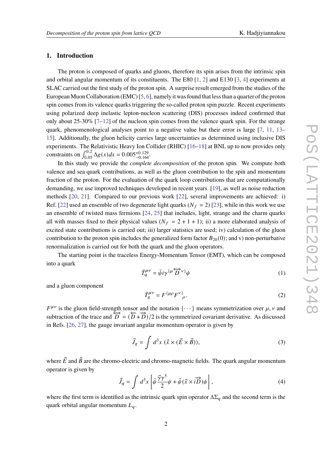#### **1. Introduction**

The proton is composed of quarks and gluons, therefore its spin arises from the intrinsic spin and orbital angular momentum of its constituents. The E80  $[1, 2]$  $[1, 2]$  $[1, 2]$  and E130  $[3, 4]$  $[3, 4]$  $[3, 4]$  experiments at SLAC carried out the first study of the proton spin. A surprise result emerged from the studies of the European Muon Collaboration (EMC) [\[5,](#page-7-4) [6\]](#page-7-5), namely it was found that less than a quarter of the proton spin comes from its valence quarks triggering the so-called proton spin puzzle. Recent experiments using polarized deep inelastic lepton-nucleon scattering (DIS) processes indeed confirmed that only about  $25-30\%$  [\[7–](#page-7-6)[12\]](#page-8-0) of the nucleon spin comes from the valence quark spin. For the strange quark, phenomenological analyses point to a negative value but their error is large [\[7,](#page-7-6) [11,](#page-7-7) [13–](#page-8-1) [15\]](#page-8-2). Additionally, the gluon helicity carries large uncertainties as determined using inclusive DIS experiments. The Relativistic Heavy Ion Collider (RHIC) [\[16–](#page-8-3)[18\]](#page-8-4) at BNL up to now provides only constraints on  $\int_{0.05}^{0.2} \Delta g(x) dx = 0.005_{-0.164}^{+0.129}$ .

In this study we provide the *complete decomposition* of the proton spin. We compute both valence and sea quark contributions, as well as the gluon contribution to the spin and momentum fraction of the proton. For the evaluation of the quark loop contributions that are computationally demanding, we use improved techniques developed in recent years [\[19\]](#page-8-5), as well as noise reduction methods [\[20,](#page-8-6) [21\]](#page-8-7). Compared to our previous work [\[22\]](#page-8-8), several improvements are achieved: i) Ref. [\[22\]](#page-8-8) used an ensemble of two degenerate light quarks ( $N_f = 2$ ) [\[23\]](#page-8-9), while in this work we use an ensemble of twisted mass fermions [\[24,](#page-8-10) [25\]](#page-8-11) that includes, light, strange and the charm quarks all with masses fixed to their physical values ( $N_f = 2 + 1 + 1$ ); ii) a more elaborated analysis of excited state contributions is carried out; iii) larger statistics are used; iv) calculation of the gluon contribution to the proton spin includes the generalized form factor  $B_{20}(0)$ ; and v) non-perturbative renormalization is carried out for both the quark and the gluon operators.

The starting point is the traceless Energy-Momentum Tensor (EMT), which can be composed into a quark

$$
\bar{T}_q^{\mu\nu} = \bar{\psi} i\gamma^{\{\mu} \overleftrightarrow{D}^{\nu\}} \psi \tag{1}
$$

and a gluon component

$$
\bar{T}_g^{\mu\nu} = F^{\{\mu\rho} F^{\nu\}}_{\rho}.
$$
\n(2)

 $F^{\mu\nu}$  is the gluon field-strength tensor and the notation  $\{\cdots\}$  means symmetrization over  $\mu$ ,  $\nu$  and subtraction of the trace and  $\vec{D} = (\vec{D} + \vec{D})/2$  is the symmetrized covariant derivative. As discussed in Refs. [\[26,](#page-8-12) [27\]](#page-8-13), the gauge invariant angular momentum operator is given by

$$
\vec{J}_g = \int d^3x \; (\vec{x} \times (\vec{E} \times \vec{B})), \tag{3}
$$

where  $\vec{E}$  and  $\vec{B}$  are the chromo-electric and chromo-magnetic fields. The quark angular momentum operator is given by

$$
\vec{J}_q = \int d^3x \left[ \bar{\psi} \frac{\vec{\gamma} \gamma^5}{2} \psi + \bar{\psi} (\vec{x} \times i \vec{D}) \psi \right], \tag{4}
$$

where the first term is identified as the intrinsic quark spin operator  $\Delta \Sigma_a$  and the second term is the quark orbital angular momentum  $L_q$ .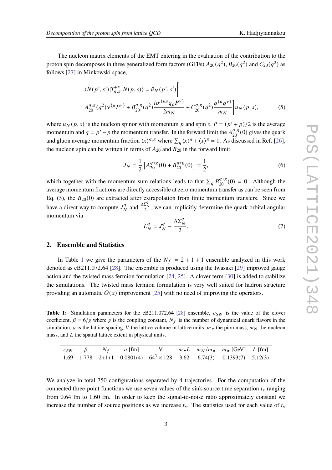The nucleon matrix elements of the EMT entering in the evaluation of the contribution to the proton spin decomposes in three generalized form factors (GFFs)  $A_{20}(q^2), B_{20}(q^2)$  and  $C_{20}(q^2)$  as follows [\[27\]](#page-8-13) in Minkowski space,

<span id="page-2-0"></span>
$$
\langle N(p',s')|T_{q,g}^{\mu\nu}|N(p,s)\rangle = \bar{u}_N(p',s')\Bigg[
$$
  

$$
A_{20}^{q,g}(q^2)\gamma^{\{\mu}P^{\nu\}} + B_{20}^{q,g}(q^2)\frac{i\sigma^{\{\mu\rho}q_{\rho}P^{\nu\}}}{2m_N} + C_{20}^{q,g}(q^2)\frac{q^{\{\mu}q^{\nu\}}}{m_N}\Bigg]u_N(p,s),
$$
 (5)

where  $u_N(p, s)$  is the nucleon spinor with momentum p and spin s,  $P = (p' + p)/2$  is the average momentum and  $q = p' - p$  the momentum transfer. In the forward limit the  $A_{20}^{q,g}(0)$  gives the quark and gluon average momentum fraction  $\langle x \rangle^{q,g}$  where  $\sum_a \langle x \rangle^q + \langle x \rangle^g = 1$ . As discussed in Ref. [\[26\]](#page-8-12), the nucleon spin can be written in terms of  $A_{20}$  and  $B_{20}$  in the forward limit

<span id="page-2-2"></span>
$$
J_N = \frac{1}{2} \left[ A_{20}^{q+g}(0) + B_{20}^{q+g}(0) \right] = \frac{1}{2},\tag{6}
$$

which together with the momentum sum relations leads to that  $\sum_q B_{20}^{q+g}(0) = 0$ . Although the average momentum fractions are directly accessible at zero momentum transfer as can be seen from Eq. [\(5\)](#page-2-0), the  $B_{20}(0)$  are extracted after extrapolation from finite momentum transfers. Since we have a direct way to compute  $J_{\lambda}^q$  $\frac{q}{N}$  and  $\frac{\Delta \Sigma_N^q}{2}$ , we can implicitly determine the quark orbital angular momentum via

<span id="page-2-3"></span>
$$
L_N^q = J_N^q - \frac{\Delta \Sigma_N^q}{2}.\tag{7}
$$

#### **2. Ensemble and Statistics**

In Table [1](#page-2-1) we give the parameters of the  $N_f = 2 + 1 + 1$  ensemble analyzed in this work denoted as cB211.072.64 [\[28\]](#page-8-14). The ensemble is produced using the Iwasaki [\[29\]](#page-8-15) improved gauge action and the twisted mass fermion formulation [\[24,](#page-8-10) [25\]](#page-8-11). A clover term [\[30\]](#page-8-16) is added to stabilize the simulations. The twisted mass fermion formulation is very well suited for hadron structure providing an automatic  $O(a)$  improvement [\[25\]](#page-8-11) with no need of improving the operators.

<span id="page-2-1"></span>**Table 1:** Simulation parameters for the cB211.072.64 [\[28\]](#page-8-14) ensemble,  $c_{SW}$  is the value of the clover coefficient,  $\beta = 6/g$  where g is the coupling constant,  $N_f$  is the number of dynamical quark flavors in the simulation, *a* is the lattice spacing, *V* the lattice volume in lattice units,  $m_{\pi}$  the pion mass,  $m_N$  the nucleon mass, and  $L$  the spatial lattice extent in physical units.

| $c_{SW}$ |  | $\gamma$ $\beta$ $N_f$ $a$ [fm] V |  | $m_{\pi}L$ $m_N/m_{\pi}$ $m_{\pi}$ [GeV] $L$ [fm]                           |  |
|----------|--|-----------------------------------|--|-----------------------------------------------------------------------------|--|
|          |  |                                   |  | 1.69 1.778 2+1+1 0.0801(4) $64^3 \times 128$ 3.62 6.74(3) 0.1393(7) 5.12(3) |  |

We analyze in total 750 configurations separated by 4 trajectories. For the computation of the connected three-point functions we use seven values of the sink-source time separation  $t_s$  ranging from 0.64 fm to 1.60 fm. In order to keep the signal-to-noise ratio approximately constant we increase the number of source positions as we increase  $t_s$ . The statistics used for each value of  $t_s$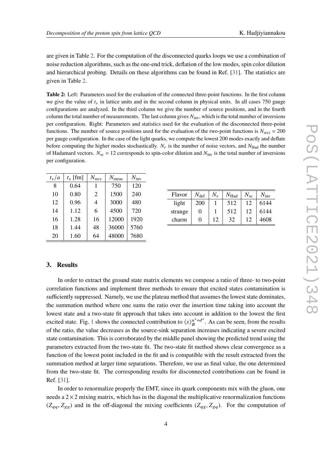are given in Table [2.](#page-3-0) For the computation of the disconnected quarks loops we use a combination of noise reduction algorithms, such as the one-end trick, deflation of the low modes, spin color dilution and hierarchical probing. Details on these algorithms can be found in Ref. [\[31\]](#page-8-17). The statistics are given in Table [2.](#page-3-0)

<span id="page-3-0"></span>**Table 2:** Left: Parameters used for the evaluation of the connected three-point functions. In the first column we give the value of  $t_s$  in lattice units and in the second column in physical units. In all cases 750 gauge configurations are analyzed. In the third column we give the number of source positions, and in the fourth column the total number of measurements. The last column gives  $N_{\text{inv}}$ , which is the total number of inversions per configuration. Right: Parameters and statistics used for the evaluation of the disconnected three-point functions. The number of source positions used for the evaluation of the two-point functions is  $N_{\text{srcs}} = 200$ per gauge configuration. In the case of the light quarks, we compute the lowest 200 modes exactly and deflate before computing the higher modes stochastically.  $N_r$  is the number of noise vectors, and  $N_{\text{Had}}$  the number of Hadamard vectors.  $N_{\text{sc}} = 12$  corresponds to spin-color dilution and  $N_{\text{inv}}$  is the total number of inversions per configuration.

| $t_s/a$ | $t_s$ [fm] | $N_{\rm{srcs}}$ | $N_{\text{meas}}$ | $N_{\text{inv}}$ |
|---------|------------|-----------------|-------------------|------------------|
| 8       | 0.64       | 1               | 750               | 120              |
| 10      | 0.80       | $\overline{2}$  | 1500              | 240              |
| 12      | 0.96       | 4               | 3000              | 480              |
| 14      | 1.12       | 6               | 4500              | 720              |
| 16      | 1.28       | 16              | 12000             | 1920             |
| 18      | 1.44       | 48              | 36000             | 5760             |
| 20      | 1.60       | 64              | 48000             | 7680             |

| Flavor  | $N_{\text{def}}$ | $N_r$ | $N_{\rm Had}$ | $N_{\rm sc}$ | $N_{\rm inv}$ |
|---------|------------------|-------|---------------|--------------|---------------|
| light   | 200              |       | 512           | 12           | 6144          |
| strange | 0                |       | 512           | 12           | 6144          |
| charm   | 0                | 12    | 32            | 12           | 4608          |

## **3. Results**

In order to extract the ground state matrix elements we compose a ratio of three- to two-point correlation functions and implement three methods to ensure that excited states contamination is sufficiently suppressed. Namely, we use the plateau method that assumes the lowest state dominates, the summation method where one sums the ratio over the insertion time taking into account the lowest state and a two-state fit approach that takes into account in addition to the lowest the first excited state. Fig. [1](#page-4-0) shows the connected contribution to  $\langle x \rangle_B^{\mu^+d^+}$ . As can be seen, from the results of the ratio, the value decreases as the source-sink separation increases indicating a severe excited state contamination. This is corroborated by the middle panel showing the predicted trend using the parameters extracted from the two-state fit. The two-state fit method shows clear convergence as a function of the lowest point included in the fit and is compatible with the result extracted from the summation method at larger time separations. Therefore, we use as final value, the one determined from the two-state fit. The corresponding results for disconnected contributions can be found in Ref. [\[31\]](#page-8-17).

In order to renormalize properly the EMT, since its quark components mix with the gluon, one needs a  $2 \times 2$  mixing matrix, which has in the diagonal the multiplicative renormalization functions  $(Z_{qq}, Z_{gg})$  and in the off-diagonal the mixing coefficients  $(Z_{qg}, Z_{gq})$ . For the computation of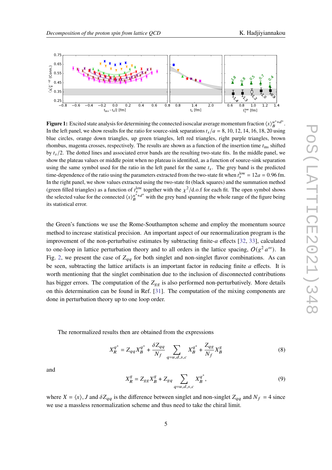<span id="page-4-0"></span>

**Figure 1:** Excited state analysis for determining the connected isoscalar average momentum fraction  $\langle x \rangle_B^{u^++d^+}$ . In the left panel, we show results for the ratio for source-sink separations  $t_s/a = 8$ , 10, 12, 14, 16, 18, 20 using blue circles, orange down triangles, up green triangles, left red triangles, right purple triangles, brown rhombus, magenta crosses, respectively. The results are shown as a function of the insertion time  $t_{ins}$  shifted by  $t_s/2$ . The dotted lines and associated error bands are the resulting two-state fits. In the middle panel, we show the plateau values or middle point when no plateau is identified, as a function of source-sink separation using the same symbol used for the ratio in the left panel for the same  $t_s$ . The grey band is the predicted time-dependence of the ratio using the parameters extracted from the two-state fit when  $t_s^{\text{low}} = 12a = 0.96$  fm. In the right panel, we show values extracted using the two-state fit (black squares) and the summation method (green filled triangles) as a function of  $t_s^{low}$  together with the  $\chi^2/d.o.f$  for each fit. The open symbol shows the selected value for the connected  $\langle x \rangle_B^{\mu^+ + d^+}$  with the grey band spanning the whole range of the figure being its statistical error.

the Green's functions we use the Rome-Southampton scheme and employ the momentum source method to increase statistical precision. An important aspect of our renormalization program is the improvement of the non-perturbative estimates by subtracting finite- $a$  effects [\[32,](#page-8-18) [33\]](#page-8-19), calculated to one-loop in lattice perturbation theory and to all orders in the lattice spacing,  $O(g^2 a^{\infty})$ . In Fig. [2,](#page-5-0) we present the case of  $Z_{qq}$  for both singlet and non-singlet flavor combinations. As can be seen, subtracting the lattice artifacts is an important factor in reducing finite  $a$  effects. It is worth mentioning that the singlet combination due to the inclusion of disconnected contributions has bigger errors. The computation of the  $Z_{g}$  is also performed non-perturbatively. More details on this determination can be found in Ref. [\[31\]](#page-8-17). The computation of the mixing components are done in perturbation theory up to one loop order.

The renormalized results then are obtained from the expressions

$$
X_R^{q^+} = Z_{qq} X_B^{q^+} + \frac{\delta Z_{qq}}{N_f} \sum_{q=u,d,s,c} X_B^{q^+} + \frac{Z_{qg}}{N_f} X_B^g
$$
 (8)

and

$$
X_R^g = Z_{gg} X_B^g + Z_{gq} \sum_{q=u,d,s,c} X_B^{q^+},\tag{9}
$$

where  $X = \langle x \rangle$ , J and  $\delta Z_{qq}$  is the difference between singlet and non-singlet  $Z_{qq}$  and  $N_f = 4$  since we use a massless renormalization scheme and thus need to take the chiral limit.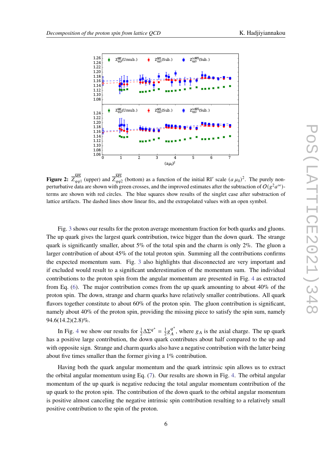<span id="page-5-0"></span>

**Figure 2:**  $\overline{Z}_{qq1}^{\text{MS}}$  (upper) and  $\overline{Z}_{qq2}^{\text{MS}}$  (bottom) as a function of the initial RI' scale  $(a\mu_0)^2$ . The purely nonperturbative data are shown with green crosses, and the improved estimates after the subtraction of  $O(g^2a^{\infty})$ terms are shown with red circles. The blue squares show results of the singlet case after substraction of lattice artifacts. The dashed lines show linear fits, and the extrapolated values with an open symbol.

Fig. [3](#page-6-0) shows our results for the proton average momentum fraction for both quarks and gluons. The up quark gives the largest quark contribution, twice bigger than the down quark. The strange quark is significantly smaller, about 5% of the total spin and the charm is only 2%. The gluon a larger contribution of about 45% of the total proton spin. Summing all the contributions confirms the expected momentum sum. Fig. [3](#page-6-0) also highlights that disconnected are very important and if excluded would result to a significant underestimation of the momentum sum. The individual contributions to the proton spin from the angular momentum are presented in Fig. [4](#page-6-1) as extracted from Eq. [\(6\)](#page-2-2). The major contribution comes from the up quark amounting to about 40% of the proton spin. The down, strange and charm quarks have relatively smaller contributions. All quark flavors together constitute to about 60% of the proton spin. The gluon contribution is significant, namely about 40% of the proton spin, providing the missing piece to satisfy the spin sum, namely 94.6(14.2)(2.8)%.

In Fig. [4](#page-6-1) we show our results for  $\frac{1}{2}\Delta \Sigma^{q^+} = \frac{1}{2}$  $\frac{1}{2}g^{q^+}$  $q^{\dagger}$ , where  $g_A$  is the axial charge. The up quark has a positive large contribution, the down quark contributes about half compared to the up and with opposite sign. Strange and charm quarks also have a negative contribution with the latter being about five times smaller than the former giving a 1% contribution.

Having both the quark angular momentum and the quark intrinsic spin allows us to extract the orbital angular momentum using Eq. [\(7\)](#page-2-3). Our results are shown in Fig. [4.](#page-6-1) The orbital angular momentum of the up quark is negative reducing the total angular momentum contribution of the up quark to the proton spin. The contribution of the down quark to the orbital angular momentum is positive almost canceling the negative intrinsic spin contribution resulting to a relatively small positive contribution to the spin of the proton.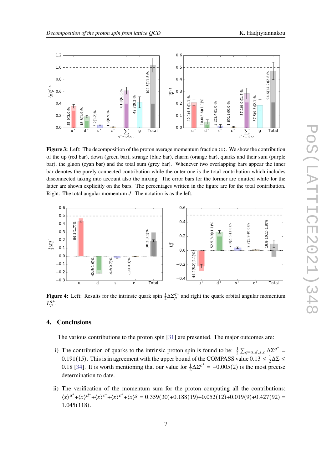<span id="page-6-0"></span>

**Figure 3:** Left: The decomposition of the proton average momentum fraction  $\langle x \rangle$ . We show the contribution of the up (red bar), down (green bar), strange (blue bar), charm (orange bar), quarks and their sum (purple bar), the gluon (cyan bar) and the total sum (grey bar). Whenever two overlapping bars appear the inner bar denotes the purely connected contribution while the outer one is the total contribution which includes disconnected taking into account also the mixing. The error bars for the former are omitted while for the latter are shown explicitly on the bars. The percentages written in the figure are for the total contribution. Right: The total angular momentum  $J$ . The notation is as the left.

<span id="page-6-1"></span>

**Figure 4:** Left: Results for the intrinsic quark spin  $\frac{1}{2}\Delta\Sigma_p^{q+}$  and right the quark orbital angular momentum  $L_p^{\tilde{q}+}$ .

## **4. Conclusions**

The various contributions to the proton spin [\[31\]](#page-8-17) are presented. The major outcomes are:

- i) The contribution of quarks to the intrinsic proton spin is found to be:  $\frac{1}{2} \sum_{q=u,d,s,c} \Delta \Sigma^{q^+}$ 0.191(15). This is in agreement with the upper bound of the COMPASS value  $0.13 \leq \frac{1}{2}$  $\frac{1}{2}\Delta\Sigma \leq$ 0.18 [\[34\]](#page-8-20). It is worth mentioning that our value for  $\frac{1}{2}\Delta\Sigma^{c^+} = -0.005(2)$  is the most precise determination to date.
- ii) The verification of the momentum sum for the proton computing all the contributions:  $\langle x \rangle^{u^+} + \langle x \rangle^{d^+} + \langle x \rangle^{c^+} + \langle x \rangle^g = 0.359(30) + 0.188(19) + 0.052(12) + 0.019(9) + 0.427(92) =$ 1.045(118).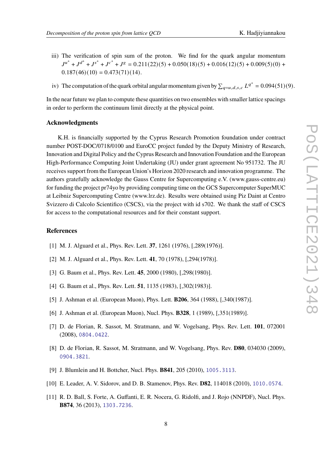- iii) The verification of spin sum of the proton. We find for the quark angular momentum  $J^{u^+} + J^{d^+} + J^{s^+} + J^{c^+} + J^g = 0.211(22)(5) + 0.050(18)(5) + 0.016(12)(5) + 0.009(5)(0) +$  $0.187(46)(10) = 0.473(71)(14).$
- iv) The computation of the quark orbital angular momentum given by  $\sum_{q=u,d,s,c} L^{q^+} = 0.094(51)(9)$ .

In the near future we plan to compute these quantities on two ensembles with smaller lattice spacings in order to perform the continuum limit directly at the physical point.

#### **Acknowledgments**

K.H. is financially supported by the Cyprus Research Promotion foundation under contract number POST-DOC/0718/0100 and EuroCC project funded by the Deputy Ministry of Research, Innovation and Digital Policy and the Cyprus Research and Innovation Foundation and the European High-Performance Computing Joint Undertaking (JU) under grant agreement No 951732. The JU receives support from the European Union's Horizon 2020 research and innovation programme. The authors gratefully acknowledge the Gauss Centre for Supercomputing e.V. (www.gauss-centre.eu) for funding the project pr74yo by providing computing time on the GCS Supercomputer SuperMUC at Leibniz Supercomputing Centre (www.lrz.de). Results were obtained using Piz Daint at Centro Svizzero di Calcolo Scientifico (CSCS), via the project with id s702. We thank the staff of CSCS for access to the computational resources and for their constant support.

## **References**

- <span id="page-7-0"></span>[1] M. J. Alguard et al., Phys. Rev. Lett. **37**, 1261 (1976), [,289(1976)].
- <span id="page-7-1"></span>[2] M. J. Alguard et al., Phys. Rev. Lett. **41**, 70 (1978), [,294(1978)].
- <span id="page-7-2"></span>[3] G. Baum et al., Phys. Rev. Lett. **45**, 2000 (1980), [,298(1980)].
- <span id="page-7-3"></span>[4] G. Baum et al., Phys. Rev. Lett. **51**, 1135 (1983), [,302(1983)].
- <span id="page-7-4"></span>[5] J. Ashman et al. (European Muon), Phys. Lett. **B206**, 364 (1988), [,340(1987)].
- <span id="page-7-5"></span>[6] J. Ashman et al. (European Muon), Nucl. Phys. **B328**, 1 (1989), [,351(1989)].
- <span id="page-7-6"></span>[7] D. de Florian, R. Sassot, M. Stratmann, and W. Vogelsang, Phys. Rev. Lett. **101**, 072001 (2008), <0804.0422>.
- [8] D. de Florian, R. Sassot, M. Stratmann, and W. Vogelsang, Phys. Rev. **D80**, 034030 (2009), <0904.3821>.
- [9] J. Blumlein and H. Bottcher, Nucl. Phys. **B841**, 205 (2010), <1005.3113>.
- [10] E. Leader, A. V. Sidorov, and D. B. Stamenov, Phys. Rev. **D82**, 114018 (2010), <1010.0574>.
- <span id="page-7-7"></span>[11] R. D. Ball, S. Forte, A. Guffanti, E. R. Nocera, G. Ridolfi, and J. Rojo (NNPDF), Nucl. Phys. **B874**, 36 (2013), <1303.7236>.